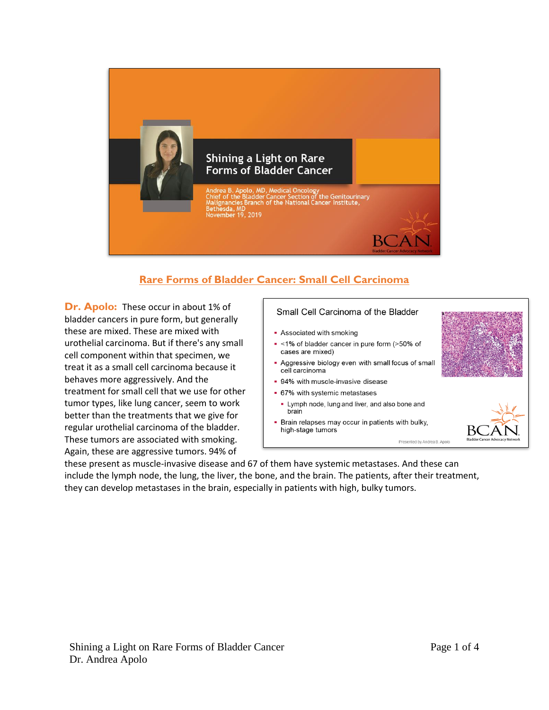

## **Rare Forms of Bladder Cancer: Small Cell Carcinoma**

**Dr. Apolo:** These occur in about 1% of bladder cancers in pure form, but generally these are mixed. These are mixed with urothelial carcinoma. But if there's any small cell component within that specimen, we treat it as a small cell carcinoma because it behaves more aggressively. And the treatment for small cell that we use for other tumor types, like lung cancer, seem to work better than the treatments that we give for regular urothelial carcinoma of the bladder. These tumors are associated with smoking. Again, these are aggressive tumors. 94% of

## Small Cell Carcinoma of the Bladder

- Associated with smoking
- <1% of bladder cancer in pure form (>50% of cases are mixed)
- Aggressive biology even with small focus of small cell carcinoma
- 94% with muscle-invasive disease
- 67% with systemic metastases
	- . Lymph node, lung and liver, and also bone and brain
- Brain relapses may occur in patients with bulky, high-stage tumors



Presented by Andrea B. Apolo

these present as muscle-invasive disease and 67 of them have systemic metastases. And these can include the lymph node, the lung, the liver, the bone, and the brain. The patients, after their treatment, they can develop metastases in the brain, especially in patients with high, bulky tumors.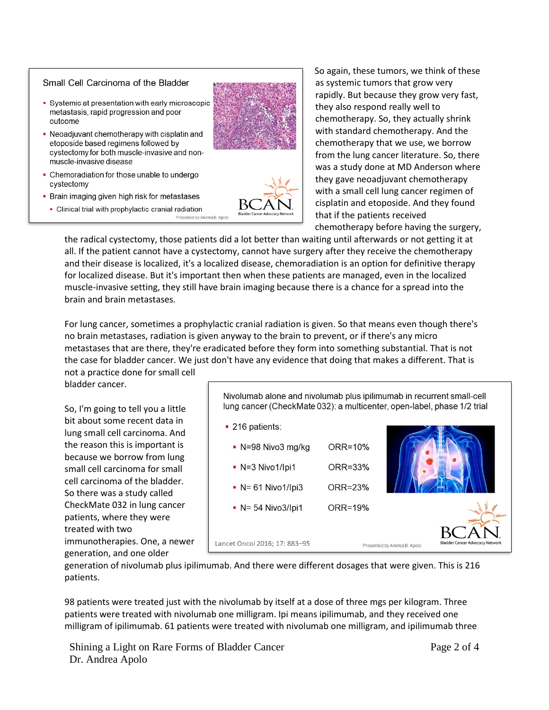## Small Cell Carcinoma of the Bladder

- Systemic at presentation with early microscopic metastasis, rapid progression and poor outcome
- Neoadjuvant chemotherapy with cisplatin and etoposide based regimens followed by cystectomy for both muscle-invasive and nonmuscle-invasive disease
- Chemoradiation for those unable to undergo cystectomy
- Brain imaging given high risk for metastases
	- Clinical trial with prophylactic cranial radiation



So again, these tumors, we think of these as systemic tumors that grow very rapidly. But because they grow very fast, they also respond really well to chemotherapy. So, they actually shrink with standard chemotherapy. And the chemotherapy that we use, we borrow from the lung cancer literature. So, there was a study done at MD Anderson where they gave neoadjuvant chemotherapy with a small cell lung cancer regimen of cisplatin and etoposide. And they found that if the patients received chemotherapy before having the surgery,

the radical cystectomy, those patients did a lot better than waiting until afterwards or not getting it at all. If the patient cannot have a cystectomy, cannot have surgery after they receive the chemotherapy and their disease is localized, it's a localized disease, chemoradiation is an option for definitive therapy for localized disease. But it's important then when these patients are managed, even in the localized muscle-invasive setting, they still have brain imaging because there is a chance for a spread into the brain and brain metastases.

For lung cancer, sometimes a prophylactic cranial radiation is given. So that means even though there's no brain metastases, radiation is given anyway to the brain to prevent, or if there's any micro metastases that are there, they're eradicated before they form into something substantial. That is not the case for bladder cancer. We just don't have any evidence that doing that makes a different. That is

not a practice done for small cell bladder cancer.

So, I'm going to tell you a little bit about some recent data in lung small cell carcinoma. And the reason this is important is because we borrow from lung small cell carcinoma for small cell carcinoma of the bladder. So there was a study called CheckMate 032 in lung cancer patients, where they were treated with two immunotherapies. One, a newer generation, and one older

Nivolumab alone and nivolumab plus ipilimumab in recurrent small-cell lung cancer (CheckMate 032): a multicenter, open-label, phase 1/2 trial



generation of nivolumab plus ipilimumab. And there were different dosages that were given. This is 216 patients.

98 patients were treated just with the nivolumab by itself at a dose of three mgs per kilogram. Three patients were treated with nivolumab one milligram. Ipi means ipilimumab, and they received one milligram of ipilimumab. 61 patients were treated with nivolumab one milligram, and ipilimumab three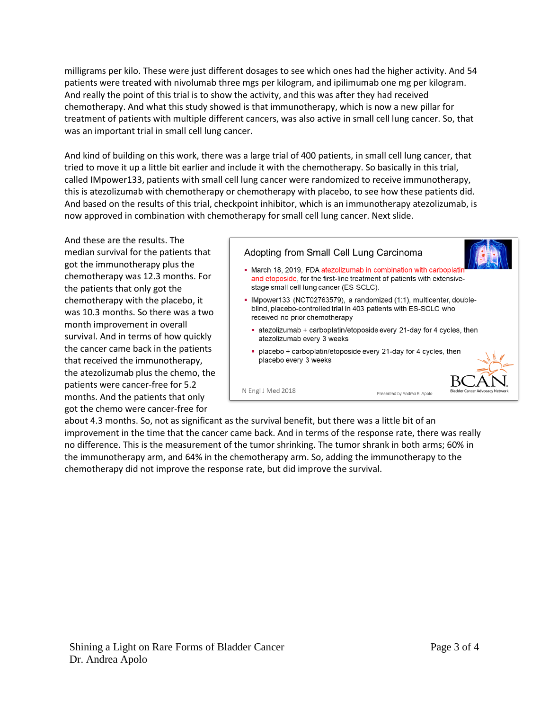milligrams per kilo. These were just different dosages to see which ones had the higher activity. And 54 patients were treated with nivolumab three mgs per kilogram, and ipilimumab one mg per kilogram. And really the point of this trial is to show the activity, and this was after they had received chemotherapy. And what this study showed is that immunotherapy, which is now a new pillar for treatment of patients with multiple different cancers, was also active in small cell lung cancer. So, that was an important trial in small cell lung cancer.

And kind of building on this work, there was a large trial of 400 patients, in small cell lung cancer, that tried to move it up a little bit earlier and include it with the chemotherapy. So basically in this trial, called IMpower133, patients with small cell lung cancer were randomized to receive immunotherapy, this is atezolizumab with chemotherapy or chemotherapy with placebo, to see how these patients did. And based on the results of this trial, checkpoint inhibitor, which is an immunotherapy atezolizumab, is now approved in combination with chemotherapy for small cell lung cancer. Next slide.

And these are the results. The median survival for the patients that got the immunotherapy plus the chemotherapy was 12.3 months. For the patients that only got the chemotherapy with the placebo, it was 10.3 months. So there was a two month improvement in overall survival. And in terms of how quickly the cancer came back in the patients that received the immunotherapy, the atezolizumab plus the chemo, the patients were cancer-free for 5.2 months. And the patients that only got the chemo were cancer-free for

## Adopting from Small Cell Lung Carcinoma - March 18, 2019, FDA atezolizumab in combination with carboplati and etoposide, for the first-line treatment of patients with extensivestage small cell lung cancer (ES-SCLC). - IMpower133 (NCT02763579), a randomized (1:1), multicenter, doubleblind, placebo-controlled trial in 403 patients with ES-SCLC who received no prior chemotherapy atezolizumab + carboplatin/etoposide every 21-day for 4 cycles, then atezolizumab every 3 weeks placebo + carboplatin/etoposide every 21-day for 4 cycles, then placebo every 3 weeks N Engl J Med 2018 Presented by Andrea B. Apolo

about 4.3 months. So, not as significant as the survival benefit, but there was a little bit of an improvement in the time that the cancer came back. And in terms of the response rate, there was really no difference. This is the measurement of the tumor shrinking. The tumor shrank in both arms; 60% in the immunotherapy arm, and 64% in the chemotherapy arm. So, adding the immunotherapy to the chemotherapy did not improve the response rate, but did improve the survival.